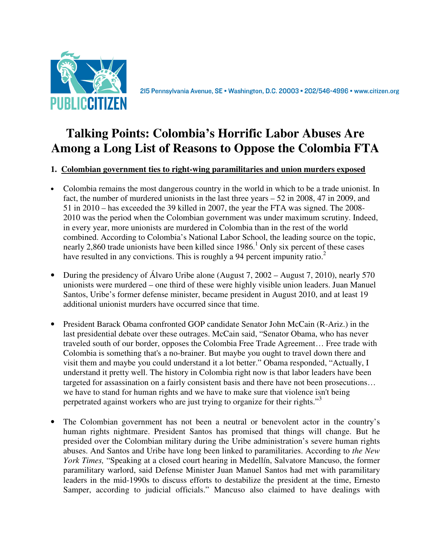

# **Talking Points: Colombia's Horrific Labor Abuses Are Among a Long List of Reasons to Oppose the Colombia FTA**

# **1. Colombian government ties to right-wing paramilitaries and union murders exposed**

- Colombia remains the most dangerous country in the world in which to be a trade unionist. In fact, the number of murdered unionists in the last three years – 52 in 2008, 47 in 2009, and 51 in 2010 – has exceeded the 39 killed in 2007, the year the FTA was signed. The 2008- 2010 was the period when the Colombian government was under maximum scrutiny. Indeed, in every year, more unionists are murdered in Colombia than in the rest of the world combined. According to Colombia's National Labor School, the leading source on the topic, nearly 2,860 trade unionists have been killed since  $1986<sup>1</sup>$  Only six percent of these cases have resulted in any convictions. This is roughly a 94 percent impunity ratio.<sup>2</sup>
- During the presidency of Álvaro Uribe alone (August 7, 2002 August 7, 2010), nearly 570 unionists were murdered – one third of these were highly visible union leaders. Juan Manuel Santos, Uribe's former defense minister, became president in August 2010, and at least 19 additional unionist murders have occurred since that time.
- President Barack Obama confronted GOP candidate Senator John McCain (R-Ariz.) in the last presidential debate over these outrages. McCain said, "Senator Obama, who has never traveled south of our border, opposes the Colombia Free Trade Agreement… Free trade with Colombia is something that's a no-brainer. But maybe you ought to travel down there and visit them and maybe you could understand it a lot better." Obama responded, "Actually, I understand it pretty well. The history in Colombia right now is that labor leaders have been targeted for assassination on a fairly consistent basis and there have not been prosecutions… we have to stand for human rights and we have to make sure that violence isn't being perpetrated against workers who are just trying to organize for their rights."<sup>3</sup>
- The Colombian government has not been a neutral or benevolent actor in the country's human rights nightmare. President Santos has promised that things will change. But he presided over the Colombian military during the Uribe administration's severe human rights abuses. And Santos and Uribe have long been linked to paramilitaries. According to *the New York Times,* "Speaking at a closed court hearing in Medellín, Salvatore Mancuso, the former paramilitary warlord, said Defense Minister Juan Manuel Santos had met with paramilitary leaders in the mid-1990s to discuss efforts to destabilize the president at the time, Ernesto Samper, according to judicial officials." Mancuso also claimed to have dealings with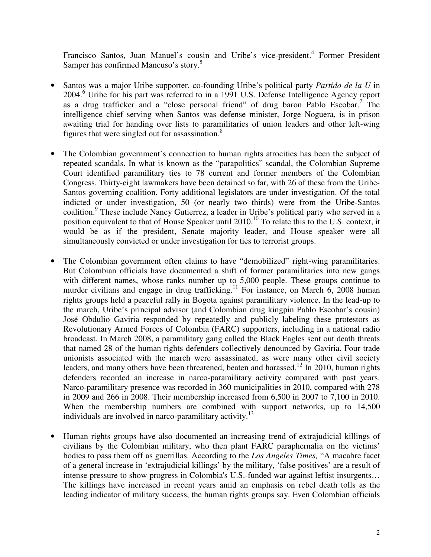Francisco Santos, Juan Manuel's cousin and Uribe's vice-president.<sup>4</sup> Former President Samper has confirmed Mancuso's story.<sup>5</sup>

- Santos was a major Uribe supporter, co-founding Uribe's political party *Partido de la U* in 2004.<sup>6</sup> Uribe for his part was referred to in a 1991 U.S. Defense Intelligence Agency report as a drug trafficker and a "close personal friend" of drug baron Pablo Escobar.<sup>7</sup> The intelligence chief serving when Santos was defense minister, Jorge Noguera, is in prison awaiting trial for handing over lists to paramilitaries of union leaders and other left-wing figures that were singled out for assassination.<sup>8</sup>
- The Colombian government's connection to human rights atrocities has been the subject of repeated scandals. In what is known as the "parapolitics" scandal, the Colombian Supreme Court identified paramilitary ties to 78 current and former members of the Colombian Congress. Thirty-eight lawmakers have been detained so far, with 26 of these from the Uribe-Santos governing coalition. Forty additional legislators are under investigation. Of the total indicted or under investigation, 50 (or nearly two thirds) were from the Uribe-Santos coalition.<sup>9</sup> These include Nancy Gutierrez, a leader in Uribe's political party who served in a position equivalent to that of House Speaker until 2010.<sup>10</sup> To relate this to the U.S. context, it would be as if the president, Senate majority leader, and House speaker were all simultaneously convicted or under investigation for ties to terrorist groups.
- The Colombian government often claims to have "demobilized" right-wing paramilitaries. But Colombian officials have documented a shift of former paramilitaries into new gangs with different names, whose ranks number up to 5,000 people. These groups continue to murder civilians and engage in drug trafficking.<sup>11</sup> For instance, on March  $\dot{6}$ , 2008 human rights groups held a peaceful rally in Bogota against paramilitary violence. In the lead-up to the march, Uribe's principal advisor (and Colombian drug kingpin Pablo Escobar's cousin) José Obdulio Gaviria responded by repeatedly and publicly labeling these protestors as Revolutionary Armed Forces of Colombia (FARC) supporters, including in a national radio broadcast. In March 2008, a paramilitary gang called the Black Eagles sent out death threats that named 28 of the human rights defenders collectively denounced by Gaviria. Four trade unionists associated with the march were assassinated, as were many other civil society leaders, and many others have been threatened, beaten and harassed.<sup>12</sup> In 2010, human rights defenders recorded an increase in narco-paramilitary activity compared with past years. Narco-paramilitary presence was recorded in 360 municipalities in 2010, compared with 278 in 2009 and 266 in 2008. Their membership increased from 6,500 in 2007 to 7,100 in 2010. When the membership numbers are combined with support networks, up to 14,500 individuals are involved in narco-paramilitary activity.<sup>13</sup>
- Human rights groups have also documented an increasing trend of extrajudicial killings of civilians by the Colombian military, who then plant FARC paraphernalia on the victims' bodies to pass them off as guerrillas. According to the *Los Angeles Times,* "A macabre facet of a general increase in 'extrajudicial killings' by the military, 'false positives' are a result of intense pressure to show progress in Colombia's U.S.-funded war against leftist insurgents… The killings have increased in recent years amid an emphasis on rebel death tolls as the leading indicator of military success, the human rights groups say. Even Colombian officials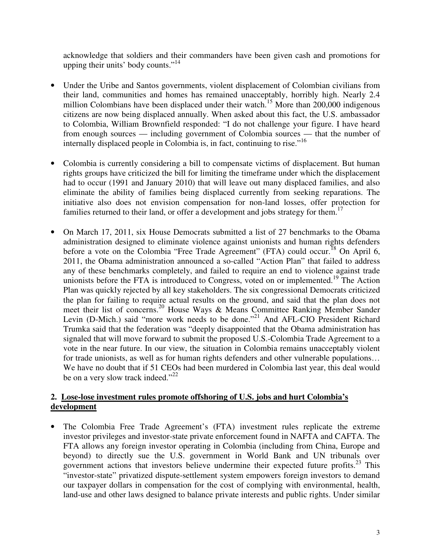acknowledge that soldiers and their commanders have been given cash and promotions for upping their units' body counts."<sup>14</sup>

- Under the Uribe and Santos governments, violent displacement of Colombian civilians from their land, communities and homes has remained unacceptably, horribly high. Nearly 2.4 million Colombians have been displaced under their watch.<sup>15</sup> More than  $200,000$  indigenous citizens are now being displaced annually. When asked about this fact, the U.S. ambassador to Colombia, William Brownfield responded: "I do not challenge your figure. I have heard from enough sources — including government of Colombia sources — that the number of internally displaced people in Colombia is, in fact, continuing to rise."<sup>16</sup>
- Colombia is currently considering a bill to compensate victims of displacement. But human rights groups have criticized the bill for limiting the timeframe under which the displacement had to occur (1991 and January 2010) that will leave out many displaced families, and also eliminate the ability of families being displaced currently from seeking reparations. The initiative also does not envision compensation for non-land losses, offer protection for families returned to their land, or offer a development and jobs strategy for them.<sup>17</sup>
- On March 17, 2011, six House Democrats submitted a list of 27 benchmarks to the Obama administration designed to eliminate violence against unionists and human rights defenders before a vote on the Colombia "Free Trade Agreement" (FTA) could occur.<sup>18</sup> On April 6, 2011, the Obama administration announced a so-called "Action Plan" that failed to address any of these benchmarks completely, and failed to require an end to violence against trade unionists before the FTA is introduced to Congress, voted on or implemented.<sup>19</sup> The Action Plan was quickly rejected by all key stakeholders. The six congressional Democrats criticized the plan for failing to require actual results on the ground, and said that the plan does not meet their list of concerns.<sup>20</sup> House Ways & Means Committee Ranking Member Sander Levin (D-Mich.) said "more work needs to be done."<sup>21</sup> And AFL-CIO President Richard Trumka said that the federation was "deeply disappointed that the Obama administration has signaled that will move forward to submit the proposed U.S.-Colombia Trade Agreement to a vote in the near future. In our view, the situation in Colombia remains unacceptably violent for trade unionists, as well as for human rights defenders and other vulnerable populations… We have no doubt that if 51 CEOs had been murdered in Colombia last year, this deal would be on a very slow track indeed."<sup>22</sup>

#### **2. Lose-lose investment rules promote offshoring of U.S. jobs and hurt Colombia's development**

• The Colombia Free Trade Agreement's (FTA) investment rules replicate the extreme investor privileges and investor-state private enforcement found in NAFTA and CAFTA. The FTA allows any foreign investor operating in Colombia (including from China, Europe and beyond) to directly sue the U.S. government in World Bank and UN tribunals over government actions that investors believe undermine their expected future profits.<sup>23</sup> This "investor-state" privatized dispute-settlement system empowers foreign investors to demand our taxpayer dollars in compensation for the cost of complying with environmental, health, land-use and other laws designed to balance private interests and public rights. Under similar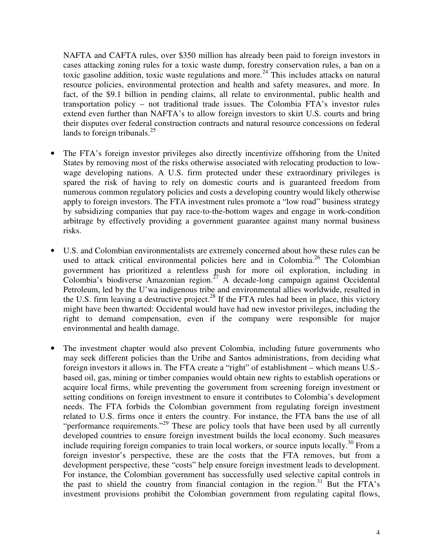NAFTA and CAFTA rules, over \$350 million has already been paid to foreign investors in cases attacking zoning rules for a toxic waste dump, forestry conservation rules, a ban on a toxic gasoline addition, toxic waste regulations and more.<sup>24</sup> This includes attacks on natural resource policies, environmental protection and health and safety measures, and more. In fact, of the \$9.1 billion in pending claims, all relate to environmental, public health and transportation policy – not traditional trade issues. The Colombia FTA's investor rules extend even further than NAFTA's to allow foreign investors to skirt U.S. courts and bring their disputes over federal construction contracts and natural resource concessions on federal lands to foreign tribunals. $^{25}$ 

- The FTA's foreign investor privileges also directly incentivize offshoring from the United States by removing most of the risks otherwise associated with relocating production to lowwage developing nations. A U.S. firm protected under these extraordinary privileges is spared the risk of having to rely on domestic courts and is guaranteed freedom from numerous common regulatory policies and costs a developing country would likely otherwise apply to foreign investors. The FTA investment rules promote a "low road" business strategy by subsidizing companies that pay race-to-the-bottom wages and engage in work-condition arbitrage by effectively providing a government guarantee against many normal business risks.
- U.S. and Colombian environmentalists are extremely concerned about how these rules can be used to attack critical environmental policies here and in Colombia.<sup>26</sup> The Colombian government has prioritized a relentless push for more oil exploration, including in Colombia's biodiverse Amazonian region.<sup>27</sup> A decade-long campaign against Occidental Petroleum, led by the U'wa indigenous tribe and environmental allies worldwide, resulted in the U.S. firm leaving a destructive project.<sup>28</sup> If the FTA rules had been in place, this victory might have been thwarted: Occidental would have had new investor privileges, including the right to demand compensation, even if the company were responsible for major environmental and health damage.
- The investment chapter would also prevent Colombia, including future governments who may seek different policies than the Uribe and Santos administrations, from deciding what foreign investors it allows in. The FTA create a "right" of establishment – which means U.S. based oil, gas, mining or timber companies would obtain new rights to establish operations or acquire local firms, while preventing the government from screening foreign investment or setting conditions on foreign investment to ensure it contributes to Colombia's development needs. The FTA forbids the Colombian government from regulating foreign investment related to U.S. firms once it enters the country. For instance, the FTA bans the use of all "performance requirements."<sup>29</sup> These are policy tools that have been used by all currently developed countries to ensure foreign investment builds the local economy. Such measures include requiring foreign companies to train local workers, or source inputs locally.<sup>30</sup> From a foreign investor's perspective, these are the costs that the FTA removes, but from a development perspective, these "costs" help ensure foreign investment leads to development. For instance, the Colombian government has successfully used selective capital controls in the past to shield the country from financial contagion in the region.<sup>31</sup> But the FTA's investment provisions prohibit the Colombian government from regulating capital flows,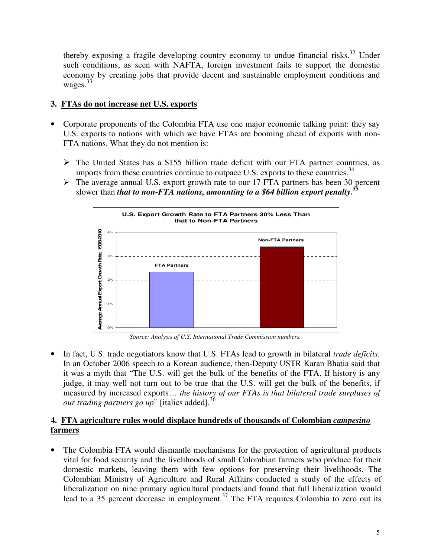thereby exposing a fragile developing country economy to undue financial risks.<sup>32</sup> Under such conditions, as seen with NAFTA, foreign investment fails to support the domestic economy by creating jobs that provide decent and sustainable employment conditions and wages.<sup>33</sup>

## **3. FTAs do not increase net U.S. exports**

- Corporate proponents of the Colombia FTA use one major economic talking point: they say U.S. exports to nations with which we have FTAs are booming ahead of exports with non-FTA nations. What they do not mention is:
	- $\triangleright$  The United States has a \$155 billion trade deficit with our FTA partner countries, as imports from these countries continue to outpace U.S. exports to these countries.<sup>34</sup>
	- The average annual U.S. export growth rate to our 17 FTA partners has been 30 percent slower than *that to non-FTA nations, amounting to a \$64 billion export penalty.<sup>35</sup>*



*Source: Analysis of U.S. International Trade Commission numbers.* 

• In fact, U.S. trade negotiators know that U.S. FTAs lead to growth in bilateral *trade deficits.*  In an October 2006 speech to a Korean audience, then-Deputy USTR Karan Bhatia said that it was a myth that "The U.S. will get the bulk of the benefits of the FTA. If history is any judge, it may well not turn out to be true that the U.S. will get the bulk of the benefits, if measured by increased exports… *the history of our FTAs is that bilateral trade surpluses of our trading partners go up*" [italics added].<sup>36</sup>

## **4. FTA agriculture rules would displace hundreds of thousands of Colombian** *campesino*  **farmers**

• The Colombia FTA would dismantle mechanisms for the protection of agricultural products vital for food security and the livelihoods of small Colombian farmers who produce for their domestic markets, leaving them with few options for preserving their livelihoods. The Colombian Ministry of Agriculture and Rural Affairs conducted a study of the effects of liberalization on nine primary agricultural products and found that full liberalization would lead to a 35 percent decrease in employment.<sup>37</sup> The FTA requires Colombia to zero out its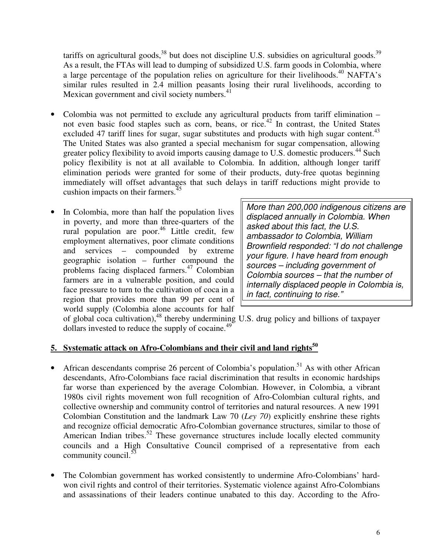tariffs on agricultural goods,  $38$  but does not discipline U.S. subsidies on agricultural goods.  $39$ As a result, the FTAs will lead to dumping of subsidized U.S. farm goods in Colombia, where a large percentage of the population relies on agriculture for their livelihoods.<sup>40</sup> NAFTA's similar rules resulted in 2.4 million peasants losing their rural livelihoods, according to Mexican government and civil society numbers.<sup>41</sup>

- Colombia was not permitted to exclude any agricultural products from tariff elimination not even basic food staples such as corn, beans, or rice.<sup>42</sup> In contrast, the United States excluded 47 tariff lines for sugar, sugar substitutes and products with high sugar content.<sup>43</sup> The United States was also granted a special mechanism for sugar compensation, allowing greater policy flexibility to avoid imports causing damage to U.S. domestic producers.<sup>44</sup> Such policy flexibility is not at all available to Colombia. In addition, although longer tariff elimination periods were granted for some of their products, duty-free quotas beginning immediately will offset advantages that such delays in tariff reductions might provide to cushion impacts on their farmers.<sup>45</sup>
- In Colombia, more than half the population lives in poverty, and more than three-quarters of the rural population are poor.<sup>46</sup> Little credit, few employment alternatives, poor climate conditions and services – compounded by extreme geographic isolation – further compound the problems facing displaced farmers.<sup>47</sup> Colombian farmers are in a vulnerable position, and could face pressure to turn to the cultivation of coca in a region that provides more than 99 per cent of world supply (Colombia alone accounts for half

More than 200,000 indigenous citizens are displaced annually in Colombia. When asked about this fact, the U.S. ambassador to Colombia, William Brownfield responded: "I do not challenge your figure. I have heard from enough sources – including government of Colombia sources – that the number of internally displaced people in Colombia is, in fact, continuing to rise."

of global coca cultivation),<sup>48</sup> thereby undermining U.S. drug policy and billions of taxpayer dollars invested to reduce the supply of cocaine.<sup>49</sup>

#### **5. Systematic attack on Afro-Colombians and their civil and land rights<sup>50</sup>**

- African descendants comprise 26 percent of Colombia's population.<sup>51</sup> As with other African descendants, Afro-Colombians face racial discrimination that results in economic hardships far worse than experienced by the average Colombian. However, in Colombia, a vibrant 1980s civil rights movement won full recognition of Afro-Colombian cultural rights, and collective ownership and community control of territories and natural resources. A new 1991 Colombian Constitution and the landmark Law 70 (*Ley 70*) explicitly enshrine these rights and recognize official democratic Afro-Colombian governance structures, similar to those of American Indian tribes.<sup>52</sup> These governance structures include locally elected community councils and a High Consultative Council comprised of a representative from each community council. $53$
- The Colombian government has worked consistently to undermine Afro-Colombians' hardwon civil rights and control of their territories. Systematic violence against Afro-Colombians and assassinations of their leaders continue unabated to this day. According to the Afro-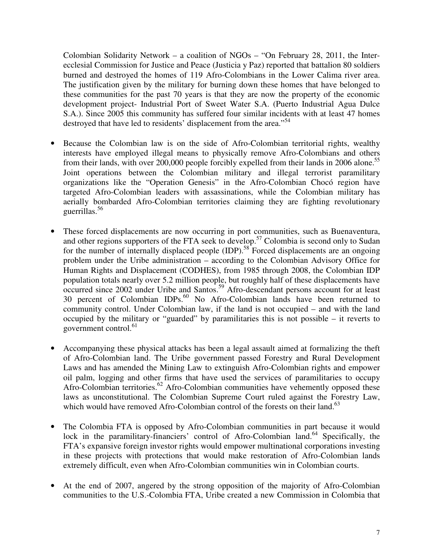Colombian Solidarity Network – a coalition of NGOs – "On February 28, 2011, the Interecclesial Commission for Justice and Peace (Justicia y Paz) reported that battalion 80 soldiers burned and destroyed the homes of 119 Afro-Colombians in the Lower Calima river area. The justification given by the military for burning down these homes that have belonged to these communities for the past 70 years is that they are now the property of the economic development project- Industrial Port of Sweet Water S.A. (Puerto Industrial Agua Dulce S.A.). Since 2005 this community has suffered four similar incidents with at least 47 homes destroyed that have led to residents' displacement from the area."<sup>54</sup>

- Because the Colombian law is on the side of Afro-Colombian territorial rights, wealthy interests have employed illegal means to physically remove Afro-Colombians and others from their lands, with over 200,000 people forcibly expelled from their lands in 2006 alone.<sup>55</sup> Joint operations between the Colombian military and illegal terrorist paramilitary organizations like the "Operation Genesis" in the Afro-Colombian Chocó region have targeted Afro-Colombian leaders with assassinations, while the Colombian military has aerially bombarded Afro-Colombian territories claiming they are fighting revolutionary guerrillas.<sup>56</sup>
- These forced displacements are now occurring in port communities, such as Buenaventura, and other regions supporters of the FTA seek to develop.<sup>57</sup> Colombia is second only to Sudan for the number of internally displaced people (IDP).<sup>58</sup> Forced displacements are an ongoing problem under the Uribe administration – according to the Colombian Advisory Office for Human Rights and Displacement (CODHES), from 1985 through 2008, the Colombian IDP population totals nearly over 5.2 million people, but roughly half of these displacements have occurred since 2002 under Uribe and Santos.<sup>59</sup> Afro-descendant persons account for at least 30 percent of Colombian IDPs.<sup>60</sup> No Afro-Colombian lands have been returned to community control. Under Colombian law, if the land is not occupied – and with the land occupied by the military or "guarded" by paramilitaries this is not possible – it reverts to government control. $61$
- Accompanying these physical attacks has been a legal assault aimed at formalizing the theft of Afro-Colombian land. The Uribe government passed Forestry and Rural Development Laws and has amended the Mining Law to extinguish Afro-Colombian rights and empower oil palm, logging and other firms that have used the services of paramilitaries to occupy Afro-Colombian territories.<sup>62</sup> Afro-Colombian communities have vehemently opposed these laws as unconstitutional. The Colombian Supreme Court ruled against the Forestry Law, which would have removed Afro-Colombian control of the forests on their land.<sup>63</sup>
- The Colombia FTA is opposed by Afro-Colombian communities in part because it would lock in the paramilitary-financiers' control of Afro-Colombian land.<sup>64</sup> Specifically, the FTA's expansive foreign investor rights would empower multinational corporations investing in these projects with protections that would make restoration of Afro-Colombian lands extremely difficult, even when Afro-Colombian communities win in Colombian courts.
- At the end of 2007, angered by the strong opposition of the majority of Afro-Colombian communities to the U.S.-Colombia FTA, Uribe created a new Commission in Colombia that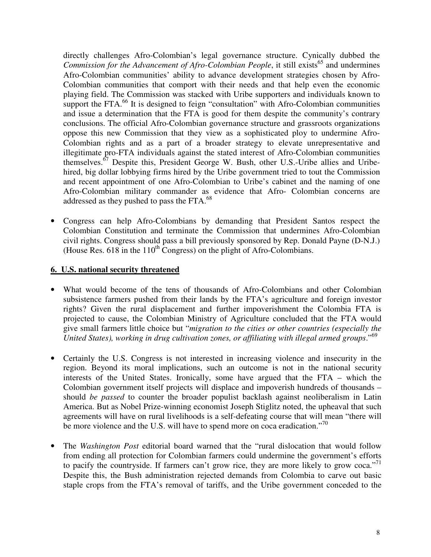directly challenges Afro-Colombian's legal governance structure. Cynically dubbed the *Commission for the Advancement of Afro-Colombian People*, it still exists<sup>65</sup> and undermines Afro-Colombian communities' ability to advance development strategies chosen by Afro-Colombian communities that comport with their needs and that help even the economic playing field. The Commission was stacked with Uribe supporters and individuals known to support the FTA.<sup>66</sup> It is designed to feign "consultation" with Afro-Colombian communities and issue a determination that the FTA is good for them despite the community's contrary conclusions. The official Afro-Colombian governance structure and grassroots organizations oppose this new Commission that they view as a sophisticated ploy to undermine Afro-Colombian rights and as a part of a broader strategy to elevate unrepresentative and illegitimate pro-FTA individuals against the stated interest of Afro-Colombian communities themselves.<sup>67</sup> Despite this, President George W. Bush, other U.S.-Uribe allies and Uribehired, big dollar lobbying firms hired by the Uribe government tried to tout the Commission and recent appointment of one Afro-Colombian to Uribe's cabinet and the naming of one Afro-Colombian military commander as evidence that Afro- Colombian concerns are addressed as they pushed to pass the FTA.<sup>68</sup>

• Congress can help Afro-Colombians by demanding that President Santos respect the Colombian Constitution and terminate the Commission that undermines Afro-Colombian civil rights. Congress should pass a bill previously sponsored by Rep. Donald Payne (D-N.J.) (House Res. 618 in the  $110^{th}$  Congress) on the plight of Afro-Colombians.

#### **6. U.S. national security threatened**

- What would become of the tens of thousands of Afro-Colombians and other Colombian subsistence farmers pushed from their lands by the FTA's agriculture and foreign investor rights? Given the rural displacement and further impoverishment the Colombia FTA is projected to cause, the Colombian Ministry of Agriculture concluded that the FTA would give small farmers little choice but "*migration to the cities or other countries (especially the United States), working in drug cultivation zones, or affiliating with illegal armed groups*."<sup>69</sup>
- Certainly the U.S. Congress is not interested in increasing violence and insecurity in the region. Beyond its moral implications, such an outcome is not in the national security interests of the United States. Ironically, some have argued that the FTA – which the Colombian government itself projects will displace and impoverish hundreds of thousands – should *be passed* to counter the broader populist backlash against neoliberalism in Latin America. But as Nobel Prize-winning economist Joseph Stiglitz noted, the upheaval that such agreements will have on rural livelihoods is a self-defeating course that will mean "there will be more violence and the U.S. will have to spend more on coca eradication."<sup>70</sup>
- The *Washington Post* editorial board warned that the "rural dislocation that would follow from ending all protection for Colombian farmers could undermine the government's efforts to pacify the countryside. If farmers can't grow rice, they are more likely to grow coca."<sup>71</sup> Despite this, the Bush administration rejected demands from Colombia to carve out basic staple crops from the FTA's removal of tariffs, and the Uribe government conceded to the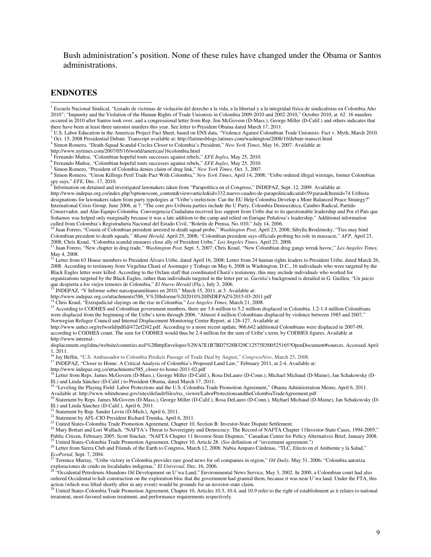Bush administration's position. None of these rules have changed under the Obama or Santos administrations.

#### **ENDNOTES**

 $\overline{a}$ 

http://www.nytimes.com/2007/05/16/world/americas/16colombia.html

5 Fernando Muñoz, "Colombian hopeful touts successes against rebels," *EFE Ingles,* May 25, 2010.

6 Fernando Muñoz, "Colombian hopeful touts successes against rebels," *EFE Ingles,* May 25, 2010.

7 Simon Romero, "President of Colombia denies claim of drug link," *New York Times,* Oct. 3, 2007.

8 Simon Romero, "Union Killings Peril Trade Pact With Colombia," *New York Times*, April 14, 2008; "Uribe ordered illegal wiretaps, former Colombian

spy says," *EFE*, Dec. 17, 2010.<br><sup>9</sup> Information on detained and investigated lawmakers taken from "Parapolítica en el Congreso," INDEPAZ, Sept. 12, 2009. Available at: http://www.indepaz.org.co/index.php?option=com\_content&view=article&id=332:nuevo-cuadro-de-parapolitica&catid=59:paras&Itemid=74 Uribista designations for lawmakers taken from party typologies at "Uribe's reelection: Can the EU Help Colombia Develop a More Balanced Peace Strategy?" International Crisis Group, June 2006, at 7. "The core pro-Uribista parties include the U Party, Colombia Democrática, Cambio Radical, Partido Conservador, and Alas-Equipo Colombia. Convergencia Ciudadana received less support from Uribe due to its questionable leadership and Por el País que Soñamos was helped only marginally because it was a late addition to the camp and relied on Enrique Peñalosa's leadership." Additional information

culled from Colombia's Registraduría Nacional del Estado Civil, "Boletín de Prensa, No. 010," July 14, 2006.<br><sup>10</sup> Juan Forero, "Cousin of Colombian president arrested in death squad probe," *Washington Post*, April 23, 200 Colombian president to death squads," *Miami Herald,* April 25, 2008; "Colombian president says officials probing his role in massacre," *AFP,* April 23,

2008; Chris Kraul, "Colombia scandal ensnares close ally of President Uribe," *Los Angeles Times*, April 23, 2008.<br><sup>11</sup> Juan Forero, "New chapter in drug trade," *Washington Post*, Sept. 5, 2007; Chris Kraul, "New Colombia May 4, 2008.<br><sup>12</sup> Letter from 63 House members to President Álvaro Uribe, dated April 16, 2008; Letter from 24 human rights leaders to President Uribe, dated March 26,

2008. According to testimony from Virgelina Chará of Asomujer y Trabajo on May 6, 2008 in Washington, D.C., 16 individuals who were targeted by the Black Eagles letter were killed. According to the Oxfam staff that coordinated Chará's testimony, this may include individuals who worked for organizations targeted by the Black Eagles, rather than individuals targeted in the letter per se. Gaviria's background is detailed in G. Guillen, "Un juicio que despierta a los viejos temores de Colombia," *El Nuevo Herald* (Fla.), July 3, 2006.

<sup>13</sup> INDEPAZ, "V Informe sobre narcoparamilitares en 2010," March 15, 2011, at 3. Available at:

http://www.indepaz.org.co/attachments/586\_V%20Informe%202010%20INDEPAZ%2015-03-2011.pdf

<sup>14</sup> Chris Kraul, "Extrajudicial slayings on the rise in Colombia," *Los Angeles Times,* March 21, 2008.

<sup>15</sup> According to CODHES and Colombian government numbers, there are 3.6 million to 5.2 million displaced in Colombia. 1.2-1.4 million Colombians were displaced from the beginning of the Uribe's term through 2006. "Almost 4 million Colombians displaced by violence between 1985 and 2007," Norwegian Refugee Council and Internal Displacement Monitoring Center Report, at 126-127. Available at:

http://www.unhcr.org/refworld/pdfid/472ef2f42.pdf. According to a more recent update, 966,642 additional Colombians were displaced in 2007-09, according to CODHES count. The sum for CODHES would thus be 2.4 million for the sum of Uribe's term, by CODHES figures. Available at http://www.internal-

displacement.org/idmc/website/countries.nsf/%28httpEnvelopes%29/A7E1B7BD7528B329C12575E500525165?OpenDocument#sources. Accessed April  $1, 2011.$ 

<sup>16</sup> Jay Heflin, "U.S. Ambassador to Colombia Predicts Passage of Trade Deal by August," *CongressNow*, March 25, 2008.

<sup>17</sup> INDEPAZ, "Closer to Home: A Critical Analysis of Colombia's Proposed Land Law," February 2011, at 2-4. Available at:

http://www.indepaz.org.co/attachments/585\_closer-to-home-2011-02.pdf<br><sup>18</sup> Letter from Reps. James McGovern (D-Mass.), George Miller (D-Calif.), Rosa DeLauro (D-Conn.), Michael Michaud (D-Maine), Jan Schakowsky (D-III.) and Linda Sánchez (D-Calif.) to President Obama, dated March 17, 2011.<br><sup>19</sup> "Leveling the Playing Field: Labor Protections and the U.S.-Colombia Trade Promotion Agreement," Obama Administration Memo, April 6, 2011.

Available at: http://www.whitehouse.gov/sites/default/files/rss\_viewer/LaborProtectionsandtheColombiaTradeAgreement.pdf<br>20 Statement by December 20 Statement by December 20 Statement.pdf

<sup>20</sup> Statement by Reps. James McGovern (D-Mass.), George Miller (D-Calif.), Rosa DeLauro (D-Conn.), Michael Michaud (D-Maine), Jan Schakowsky (D-Ill.) and Linda Sánchez (D-Calif.), April 6, 2011.<br><sup>21</sup> Statement by Rep. Sander Levin (D-Mich.), April 6, 2011.

<sup>22</sup> Statement by AFL-CIO President Richard Trumka, April 6, 2011.

<sup>23</sup> United States-Colombia Trade Promotion Agreement, Chapter 10, Section B: Investor-State Dispute Settlement.

<sup>24</sup> Mary Bottari and Lori Wallach, "NAFTA's Threat to Sovereignty and Democracy: The Record of NAFTA Chapter 11Investor-State Cases, 1994-2005," Public Citizen, February 2005; Scott Sinclair, "NAFTA Chapter 11 Investor-State Disputes," Canadian Center for Policy Alternatives Brief, January 2008.

<sup>25</sup> United States-Colombia Trade Promotion Agreement, Chapter 10, Article 28. (*See* definition of "investment agreement.")

<sup>26</sup> Letter from Sierra Club and Friends of the Earth to Congress, March 12, 2008; Nubia Amparo Cárdenas, "TLC, Efecto en el Ambiente y la Salud," *EcoPortal,* Sept. 7, 2004. <sup>27</sup> Terrence Murray, "Uribe victory in Colombia provides rare good news for oil companies in region," *Oil Daily,* May 31, 2006; "Colombia autoriza

exploraciones de crudo en localidades indigenas," *El Universal*, Dec. 16, 2006.<br><sup>28</sup> "Occidental Dec. 1 localidades indigenas," *El Universal*, Dec. 16, 2006.

<sup>28</sup> "Occidental Petroleum Abandons Oil Development on U'wa Land," Environmental News Service, May 3, 2002. In 2000, a Colombian court had also ordered Occidental to halt construction on the exploration bloc that the government had granted them, because it was near U'wa land. Under the FTA, this action (which was lifted shortly after in any event) would be grounds for an investor-state claim.<br><sup>29</sup> United States-Colombia Trade Promotion Agreement, Chapter 10, Articles 10.3, 10.4, and 10.9 refer to the right of esta

treatment, most-favored nation treatment, and performance requirements respectively.

<sup>&</sup>lt;sup>1</sup> Escuela Nacional Sindical, "Listado de victimas de violación del derecho a la vida, a la libertad y a la integridad física de sindicalistas en Colombia Año 2010"; "Impunity and the Violation of the Human Rights of Trade Unionists in Colombia 2009-2010 and 2002-2010," October 2010, at 62. 16 murders occured in 2010 after Santos took over, and a congressional letter from Rep. Jim McGovern (D-Mass.), George Miller (D-Calif.) and others indicates that there have been at least three unionist murders this year. See letter to President Obama dated March 17, 2011.

<sup>2</sup> U.S. Labor Education in the Americas Project Fact Sheet, based on ENS data, "Violence Against Colombian Trade Unionists: Fact v. Myth, March 2010.

<sup>3</sup> Oct. 15, 2008 Presidential Debate. Transcript available at: http://latimesblogs.latimes.com/washington/2008/10/debate-transcri.html

<sup>4</sup> Simon Romero, "Death-Squad Scandal Circles Closer to Colombia's President," *New York Times,* May 16, 2007. Available at: